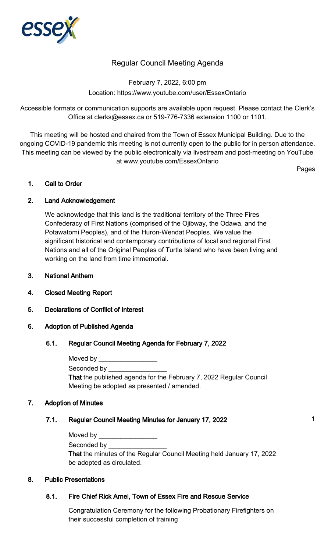

# Regular Council Meeting Agenda

February 7, 2022, 6:00 pm Location: https://www.youtube.com/user/EssexOntario

Accessible formats or communication supports are available upon request. Please contact the Clerk's Office at clerks@essex.ca or 519-776-7336 extension 1100 or 1101.

This meeting will be hosted and chaired from the Town of Essex Municipal Building. Due to the ongoing COVID-19 pandemic this meeting is not currently open to the public for in person attendance. This meeting can be viewed by the public electronically via livestream and post-meeting on YouTube at www.youtube.com/EssexOntario

Pages

## 1. Call to Order

## 2. Land Acknowledgement

We acknowledge that this land is the traditional territory of the Three Fires Confederacy of First Nations (comprised of the Ojibway, the Odawa, and the Potawatomi Peoples), and of the Huron-Wendat Peoples. We value the significant historical and contemporary contributions of local and regional First Nations and all of the Original Peoples of Turtle Island who have been living and working on the land from time immemorial.

- 3. National Anthem
- 4. Closed Meeting Report
- 5. Declarations of Conflict of Interest

#### 6. Adoption of Published Agenda

#### 6.1. Regular Council Meeting Agenda for February 7, 2022

| Moved by the control of the control of the control of the control of the control of the control of the control of the control of the control of the control of the control of the control of the control of the control of the |
|--------------------------------------------------------------------------------------------------------------------------------------------------------------------------------------------------------------------------------|
| Seconded by <b>Seconded</b> by                                                                                                                                                                                                 |
| That the published agenda for the February 7, 2022 Regular Council                                                                                                                                                             |
| Meeting be adopted as presented / amended.                                                                                                                                                                                     |

#### 7. Adoption of Minutes

## 7.1. Regular Council Meeting Minutes for January 17, 2022 **1** 1

| Moved by |  |  |  |
|----------|--|--|--|
|          |  |  |  |

Seconded by \_\_\_\_\_\_\_\_\_\_\_\_\_\_\_\_

That the minutes of the Regular Council Meeting held January 17, 2022 be adopted as circulated.

#### 8. Public Presentations

## 8.1. Fire Chief Rick Arnel, Town of Essex Fire and Rescue Service

Congratulation Ceremony for the following Probationary Firefighters on their successful completion of training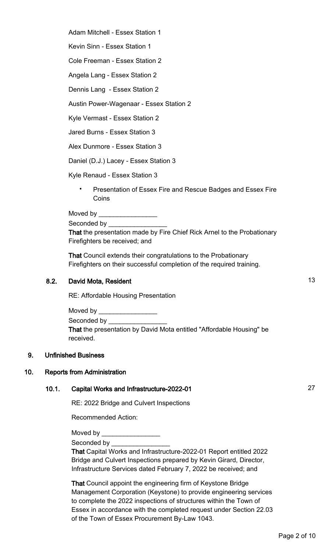Adam Mitchell - Essex Station 1

Kevin Sinn - Essex Station 1

Cole Freeman - Essex Station 2

Angela Lang - Essex Station 2

Dennis Lang - Essex Station 2

Austin Power-Wagenaar - Essex Station 2

Kyle Vermast - Essex Station 2

Jared Burns - Essex Station 3

Alex Dunmore - Essex Station 3

Daniel (D.J.) Lacey - Essex Station 3

Kyle Renaud - Essex Station 3

• Presentation of Essex Fire and Rescue Badges and Essex Fire **Coins** 

Moved by  $\frac{1}{2}$ 

Seconded by

That the presentation made by Fire Chief Rick Arnel to the Probationary Firefighters be received; and

That Council extends their congratulations to the Probationary Firefighters on their successful completion of the required training.

## 8.2. David Mota, Resident 13

RE: Affordable Housing Presentation

Moved by **Example 20** Seconded by That the presentation by David Mota entitled "Affordable Housing" be received.

#### 9. Unfinished Business

#### 10. Reports from Administration

### 10.1. Capital Works and Infrastructure-2022-01 27

RE: 2022 Bridge and Culvert Inspections

Recommended Action:

Moved by

Seconded by

That Capital Works and Infrastructure-2022-01 Report entitled 2022 Bridge and Culvert Inspections prepared by Kevin Girard, Director, Infrastructure Services dated February 7, 2022 be received; and

That Council appoint the engineering firm of Keystone Bridge Management Corporation (Keystone) to provide engineering services to complete the 2022 inspections of structures within the Town of Essex in accordance with the completed request under Section 22.03 of the Town of Essex Procurement By-Law 1043.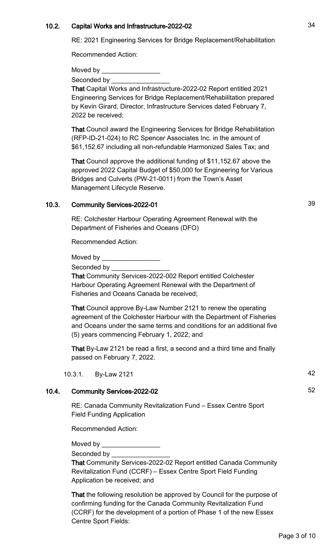## 10.2. Capital Works and Infrastructure-2022-02

RE: 2021 Engineering Services for Bridge Replacement/Rehabilitation

Recommended Action:

Moved by

Seconded by

That Capital Works and Infrastructure-2022-02 Report entitled 2021 Engineering Services for Bridge Replacement/Rehabilitation prepared by Kevin Girard, Director, Infrastructure Services dated February 7, 2022 be received;

That Council award the Engineering Services for Bridge Rehabilitation (RFP-ID-21-024) to RC Spencer Associates Inc. in the amount of \$61,152.67 including all non-refundable Harmonized Sales Tax; and

That Council approve the additional funding of \$11,152.67 above the approved 2022 Capital Budget of \$50,000 for Engineering for Various Bridges and Culverts (PW-21-0011) from the Town's Asset Management Lifecycle Reserve.

## 10.3. Community Services-2022-01 39

RE: Colchester Harbour Operating Agreement Renewal with the Department of Fisheries and Oceans (DFO)

Recommended Action:

Moved by

Seconded by

That Community Services-2022-002 Report entitled Colchester Harbour Operating Agreement Renewal with the Department of Fisheries and Oceans Canada be received;

That Council approve By-Law Number 2121 to renew the operating agreement of the Colchester Harbour with the Department of Fisheries and Oceans under the same terms and conditions for an additional five (5) years commencing February 1, 2022; and

That By-Law 2121 be read a first, a second and a third time and finally passed on February 7, 2022.

10.3.1. By-Law 2121 42

## 10.4. Community Services-2022-02 52

RE: Canada Community Revitalization Fund – Essex Centre Sport Field Funding Application

Recommended Action:

Moved by  $\_\_$ 

Seconded by \_\_\_\_

That Community Services-2022-02 Report entitled Canada Community Revitalization Fund (CCRF) – Essex Centre Sport Field Funding Application be received; and

That the following resolution be approved by Council for the purpose of confirming funding for the Canada Community Revitalization Fund (CCRF) for the development of a portion of Phase 1 of the new Essex Centre Sport Fields: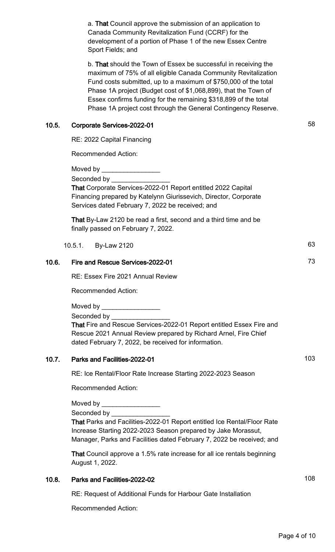a. That Council approve the submission of an application to Canada Community Revitalization Fund (CCRF) for the development of a portion of Phase 1 of the new Essex Centre Sport Fields; and

b. That should the Town of Essex be successful in receiving the maximum of 75% of all eligible Canada Community Revitalization Fund costs submitted, up to a maximum of \$750,000 of the total Phase 1A project (Budget cost of \$1,068,899), that the Town of Essex confirms funding for the remaining \$318,899 of the total Phase 1A project cost through the General Contingency Reserve.

## 10.5. Corporate Services-2022-01 58

RE: 2022 Capital Financing

Recommended Action:

Moved by  $\_\_$ 

Seconded by

That Corporate Services-2022-01 Report entitled 2022 Capital Financing prepared by Katelynn Giurissevich, Director, Corporate Services dated February 7, 2022 be received; and

That By-Law 2120 be read a first, second and a third time and be finally passed on February 7, 2022.

10.5.1. By-Law 2120 63

## 10.6. Fire and Rescue Services-2022-01 **73**

RE: Essex Fire 2021 Annual Review

Recommended Action:

Moved by \_\_\_\_\_\_\_\_\_\_\_\_\_\_\_\_

Seconded by **Example 20** 

That Fire and Rescue Services-2022-01 Report entitled Essex Fire and Rescue 2021 Annual Review prepared by Richard Arnel, Fire Chief dated February 7, 2022, be received for information.

## 10.7. Parks and Facilities-2022-01 103

RE: Ice Rental/Floor Rate Increase Starting 2022-2023 Season

Recommended Action:

Moved by \_\_\_\_\_\_\_\_\_\_\_\_\_\_\_\_

Seconded by

That Parks and Facilities-2022-01 Report entitled Ice Rental/Floor Rate Increase Starting 2022-2023 Season prepared by Jake Morassut, Manager, Parks and Facilities dated February 7, 2022 be received; and

That Council approve a 1.5% rate increase for all ice rentals beginning August 1, 2022.

## 10.8. Parks and Facilities-2022-02 108

RE: Request of Additional Funds for Harbour Gate Installation

Recommended Action: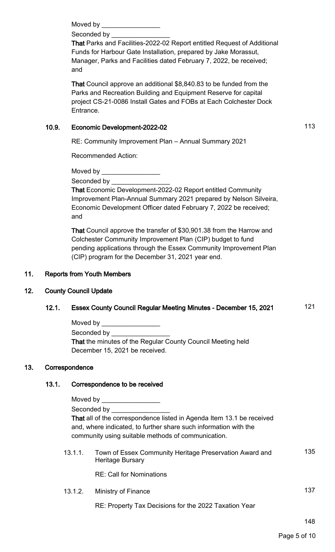Moved by **Example 20** 

Seconded by

That Parks and Facilities-2022-02 Report entitled Request of Additional Funds for Harbour Gate Installation, prepared by Jake Morassut, Manager, Parks and Facilities dated February 7, 2022, be received; and

That Council approve an additional \$8,840.83 to be funded from the Parks and Recreation Building and Equipment Reserve for capital project CS-21-0086 Install Gates and FOBs at Each Colchester Dock Entrance.

# 10.9. Economic Development-2022-02 10.9. http://www.facebook.com/

RE: Community Improvement Plan – Annual Summary 2021

Recommended Action:

Moved by **Example** 

Seconded by \_\_\_\_\_\_\_\_\_\_\_\_\_\_\_\_

That Economic Development-2022-02 Report entitled Community Improvement Plan-Annual Summary 2021 prepared by Nelson Silveira, Economic Development Officer dated February 7, 2022 be received; and

That Council approve the transfer of \$30,901.38 from the Harrow and Colchester Community Improvement Plan (CIP) budget to fund pending applications through the Essex Community Improvement Plan (CIP) program for the December 31, 2021 year end.

# 11. Reports from Youth Members

# 12. County Council Update

# 12.1. Essex County Council Regular Meeting Minutes - December 15, 2021 121

| Moved by                                                           |
|--------------------------------------------------------------------|
| Seconded by                                                        |
| <b>That the minutes of the Regular County Council Meeting held</b> |
| December 15, 2021 be received.                                     |

## 13. Correspondence

# 13.1. Correspondence to be received

| Moved by                                                              |
|-----------------------------------------------------------------------|
| Seconded by                                                           |
| That all of the correspondence listed in Agenda Item 13.1 be received |
| and, where indicated, to further share such information with the      |
| community using suitable methods of communication.                    |
|                                                                       |

13.1.1. Town of Essex Community Heritage Preservation Award and Heritage Bursary 135

RE: Call for Nominations

13.1.2. Ministry of Finance 13.1.2.

RE: Property Tax Decisions for the 2022 Taxation Year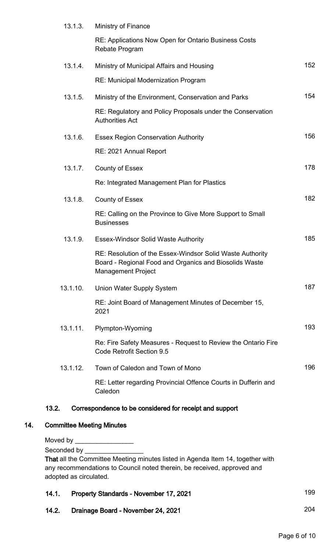|     | 13.1.3.                                                                                                         | Ministry of Finance                                                                                                                                       |     |
|-----|-----------------------------------------------------------------------------------------------------------------|-----------------------------------------------------------------------------------------------------------------------------------------------------------|-----|
|     |                                                                                                                 | RE: Applications Now Open for Ontario Business Costs<br>Rebate Program                                                                                    |     |
|     | 13.1.4.                                                                                                         | Ministry of Municipal Affairs and Housing                                                                                                                 | 152 |
|     |                                                                                                                 | RE: Municipal Modernization Program                                                                                                                       |     |
|     | 13.1.5.                                                                                                         | Ministry of the Environment, Conservation and Parks                                                                                                       | 154 |
|     |                                                                                                                 | RE: Regulatory and Policy Proposals under the Conservation<br><b>Authorities Act</b>                                                                      |     |
|     | 13.1.6.                                                                                                         | <b>Essex Region Conservation Authority</b>                                                                                                                | 156 |
|     |                                                                                                                 | RE: 2021 Annual Report                                                                                                                                    |     |
|     | 13.1.7.                                                                                                         | <b>County of Essex</b>                                                                                                                                    | 178 |
|     |                                                                                                                 | Re: Integrated Management Plan for Plastics                                                                                                               |     |
|     | 13.1.8.                                                                                                         | <b>County of Essex</b>                                                                                                                                    | 182 |
|     |                                                                                                                 | RE: Calling on the Province to Give More Support to Small<br><b>Businesses</b>                                                                            |     |
|     | 13.1.9.                                                                                                         | <b>Essex-Windsor Solid Waste Authority</b>                                                                                                                | 185 |
|     |                                                                                                                 | RE: Resolution of the Essex-Windsor Solid Waste Authority<br>Board - Regional Food and Organics and Biosolids Waste<br><b>Management Project</b>          |     |
|     | 13.1.10.                                                                                                        | <b>Union Water Supply System</b>                                                                                                                          | 187 |
|     |                                                                                                                 | RE: Joint Board of Management Minutes of December 15,<br>2021                                                                                             |     |
|     | 13.1.11.                                                                                                        | Plympton-Wyoming                                                                                                                                          | 193 |
|     |                                                                                                                 | Re: Fire Safety Measures - Request to Review the Ontario Fire<br><b>Code Retrofit Section 9.5</b>                                                         |     |
|     | 13.1.12.                                                                                                        | Town of Caledon and Town of Mono                                                                                                                          | 196 |
|     |                                                                                                                 | RE: Letter regarding Provincial Offence Courts in Dufferin and<br>Caledon                                                                                 |     |
|     | 13.2.                                                                                                           | Correspondence to be considered for receipt and support                                                                                                   |     |
| 14. | <b>Committee Meeting Minutes</b>                                                                                |                                                                                                                                                           |     |
|     |                                                                                                                 |                                                                                                                                                           |     |
|     | Seconded by Seconded by Seconded by Seconded by Seconded by Seconded Seconded Seconded Seconded Seconded Second |                                                                                                                                                           |     |
|     |                                                                                                                 | That all the Committee Meeting minutes listed in Agenda Item 14, together with<br>any recommendations to Council noted therein, be received, approved and |     |
|     | adopted as circulated.                                                                                          |                                                                                                                                                           |     |

| 14.1. | <b>Property Standards - November 17, 2021</b> | 199 |
|-------|-----------------------------------------------|-----|
| 14.2. | Drainage Board - November 24, 2021            | 204 |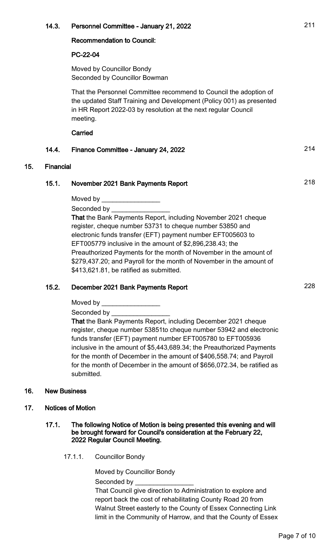## 14.3. Personnel Committee - January 21, 2022 **211**

#### Recommendation to Council:

## PC-22-04

Moved by Councillor Bondy Seconded by Councillor Bowman

That the Personnel Committee recommend to Council the adoption of the updated Staff Training and Development (Policy 001) as presented in HR Report 2022-03 by resolution at the next regular Council meeting.

**Carried** 

## 14.4. Finance Committee - January 24, 2022 **214**

## 15. Financial

## 15.1. November 2021 Bank Payments Report 2021 218

Moved by

Seconded by

That the Bank Payments Report, including November 2021 cheque register, cheque number 53731 to cheque number 53850 and electronic funds transfer (EFT) payment number EFT005603 to EFT005779 inclusive in the amount of \$2,896,238.43; the Preauthorized Payments for the month of November in the amount of \$279,437.20; and Payroll for the month of November in the amount of \$413,621.81, be ratified as submitted.

# 15.2. December 2021 Bank Payments Report 2004 15.2.

Moved by

Seconded by

That the Bank Payments Report, including December 2021 cheque register, cheque number 53851to cheque number 53942 and electronic funds transfer (EFT) payment number EFT005780 to EFT005936 inclusive in the amount of \$5,443,689.34; the Preauthorized Payments for the month of December in the amount of \$406,558.74; and Payroll for the month of December in the amount of \$656,072.34, be ratified as submitted.

#### 16. New Business

#### 17. Notices of Motion

#### 17.1. The following Notice of Motion is being presented this evening and will be brought forward for Council's consideration at the February 22, 2022 Regular Council Meeting.

17.1.1. Councillor Bondy

Moved by Councillor Bondy Seconded by

That Council give direction to Administration to explore and report back the cost of rehabilitating County Road 20 from Walnut Street easterly to the County of Essex Connecting Link limit in the Community of Harrow, and that the County of Essex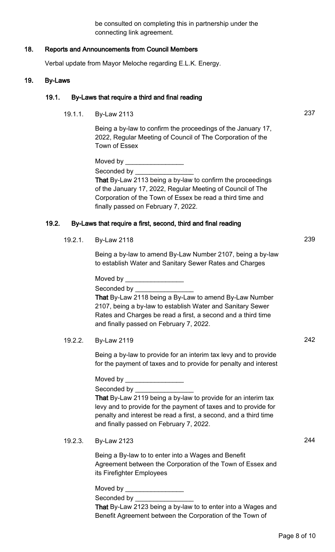be consulted on completing this in partnership under the connecting link agreement.

## 18. Reports and Announcements from Council Members

Verbal update from Mayor Meloche regarding E.L.K. Energy.

#### 19. By-Laws

#### 19.1. By-Laws that require a third and final reading

19.1.1. By-Law 2113 237

Being a by-law to confirm the proceedings of the January 17, 2022, Regular Meeting of Council of The Corporation of the Town of Essex

Moved by Seconded by

That By-Law 2113 being a by-law to confirm the proceedings of the January 17, 2022, Regular Meeting of Council of The Corporation of the Town of Essex be read a third time and finally passed on February 7, 2022.

#### 19.2. By-Laws that require a first, second, third and final reading

19.2.1. By-Law 2118 239

Being a by-law to amend By-Law Number 2107, being a by-law to establish Water and Sanitary Sewer Rates and Charges

Moved by  $\equiv$ Seconded by

That By-Law 2118 being a By-Law to amend By-Law Number 2107, being a by-law to establish Water and Sanitary Sewer Rates and Charges be read a first, a second and a third time and finally passed on February 7, 2022.

19.2.2. By-Law 2119 242

Being a by-law to provide for an interim tax levy and to provide for the payment of taxes and to provide for penalty and interest

Moved by \_\_\_\_\_\_\_\_\_\_\_\_\_\_\_\_

Seconded by \_\_\_\_\_\_\_\_\_\_\_\_\_\_\_\_ That By-Law 2119 being a by-law to provide for an interim tax levy and to provide for the payment of taxes and to provide for penalty and interest be read a first, a second, and a third time and finally passed on February 7, 2022.

19.2.3. By-Law 2123 244

Being a By-law to to enter into a Wages and Benefit Agreement between the Corporation of the Town of Essex and its Firefighter Employees

Moved by \_\_\_\_\_\_\_\_\_\_\_\_\_\_\_\_ Seconded by That By-Law 2123 being a by-law to to enter into a Wages and Benefit Agreement between the Corporation of the Town of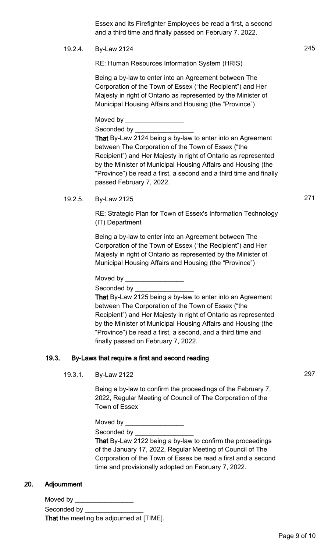Essex and its Firefighter Employees be read a first, a second and a third time and finally passed on February 7, 2022.

19.2.4. By-Law 2124 245

RE: Human Resources Information System (HRIS)

Being a by-law to enter into an Agreement between The Corporation of the Town of Essex ("the Recipient") and Her Majesty in right of Ontario as represented by the Minister of Municipal Housing Affairs and Housing (the "Province")

Moved by  $\rule{1em}{0.15mm}$ 

Seconded by \_\_\_\_\_\_\_\_\_\_\_\_\_\_\_\_

That By-Law 2124 being a by-law to enter into an Agreement between The Corporation of the Town of Essex ("the Recipient") and Her Majesty in right of Ontario as represented by the Minister of Municipal Housing Affairs and Housing (the "Province") be read a first, a second and a third time and finally passed February 7, 2022.

19.2.5. By-Law 2125 271

RE: Strategic Plan for Town of Essex's Information Technology (IT) Department

Being a by-law to enter into an Agreement between The Corporation of the Town of Essex ("the Recipient") and Her Majesty in right of Ontario as represented by the Minister of Municipal Housing Affairs and Housing (the "Province")

Moved by \_\_\_\_\_\_\_\_\_\_\_\_\_\_\_\_

Seconded by \_

That By-Law 2125 being a by-law to enter into an Agreement between The Corporation of the Town of Essex ("the Recipient") and Her Majesty in right of Ontario as represented by the Minister of Municipal Housing Affairs and Housing (the "Province") be read a first, a second, and a third time and finally passed on February 7, 2022.

## 19.3. By-Laws that require a first and second reading

19.3.1. By-Law 2122 297

Being a by-law to confirm the proceedings of the February 7, 2022, Regular Meeting of Council of The Corporation of the Town of Essex

Moved by \_\_\_\_\_

Seconded by

That By-Law 2122 being a by-law to confirm the proceedings of the January 17, 2022, Regular Meeting of Council of The Corporation of the Town of Essex be read a first and a second time and provisionally adopted on February 7, 2022.

#### 20. Adjournment

Moved by  $\_\_$ Seconded by That the meeting be adjourned at [TIME].